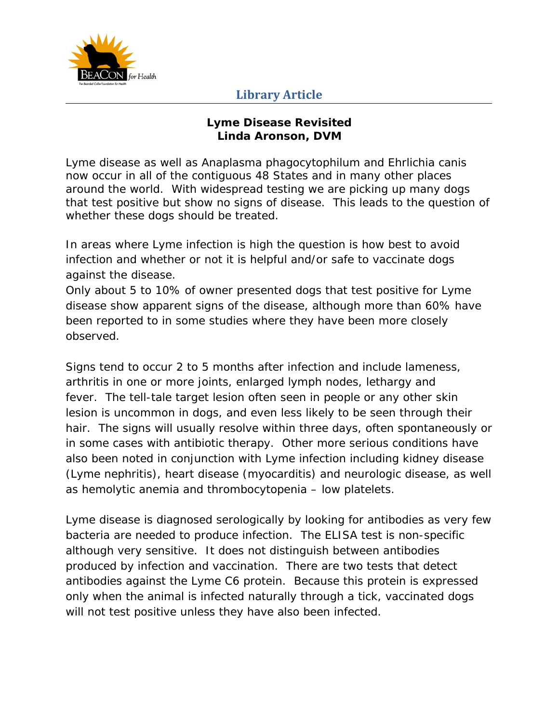

## **Library Article**

## **Lyme Disease Revisited Linda Aronson, DVM**

Lyme disease as well as *Anaplasma phagocytophilum* and *Ehrlichia canis* now occur in all of the contiguous 48 States and in many other places around the world. With widespread testing we are picking up many dogs that test positive but show no signs of disease. This leads to the question of whether these dogs should be treated.

In areas where Lyme infection is high the question is how best to avoid infection and whether or not it is helpful and/or safe to vaccinate dogs against the disease.

Only about 5 to 10% of owner presented dogs that test positive for Lyme disease show apparent signs of the disease, although more than 60% have been reported to in some studies where they have been more closely observed.

Signs tend to occur 2 to 5 months after infection and include lameness, arthritis in one or more joints, enlarged lymph nodes, lethargy and fever. The tell-tale target lesion often seen in people or any other skin lesion is uncommon in dogs, and even less likely to be seen through their hair. The signs will usually resolve within three days, often spontaneously or in some cases with antibiotic therapy. Other more serious conditions have also been noted in conjunction with Lyme infection including kidney disease (Lyme nephritis), heart disease (myocarditis) and neurologic disease, as well as hemolytic anemia and thrombocytopenia – low platelets.

Lyme disease is diagnosed serologically by looking for antibodies as very few bacteria are needed to produce infection. The ELISA test is non-specific although very sensitive. It does not distinguish between antibodies produced by infection and vaccination. There are two tests that detect antibodies against the Lyme C6 protein. Because this protein is expressed only when the animal is infected naturally through a tick, vaccinated dogs will not test positive unless they have also been infected.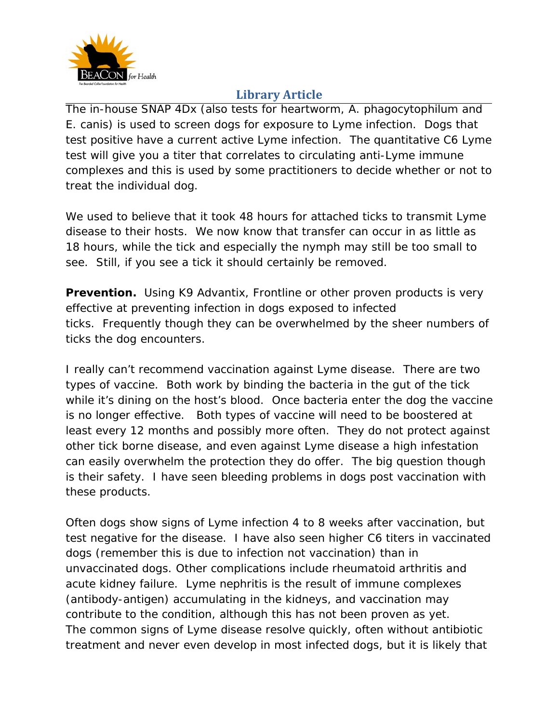

## **Library Article**

The in-house SNAP 4Dx (also tests for heartworm, *A. phagocytophilum* and *E. canis*) is used to screen dogs for exposure to Lyme infection. Dogs that test positive have a current active Lyme infection. The quantitative C6 Lyme test will give you a titer that correlates to circulating anti-Lyme immune complexes and this is used by some practitioners to decide whether or not to treat the individual dog.

We used to believe that it took 48 hours for attached ticks to transmit Lyme disease to their hosts. We now know that transfer can occur in as little as 18 hours, while the tick and especially the nymph may still be too small to see. Still, if you see a tick it should certainly be removed.

**Prevention.** Using K9 Advantix, Frontline or other proven products is very effective at preventing infection in dogs exposed to infected ticks. Frequently though they can be overwhelmed by the sheer numbers of ticks the dog encounters.

I really can't recommend vaccination against Lyme disease. There are two types of vaccine. Both work by binding the bacteria in the gut of the tick while it's dining on the host's blood. Once bacteria enter the dog the vaccine is no longer effective. Both types of vaccine will need to be boostered at least every 12 months and possibly more often. They do not protect against other tick borne disease, and even against Lyme disease a high infestation can easily overwhelm the protection they do offer. The big question though is their safety. I have seen bleeding problems in dogs post vaccination with these products.

Often dogs show signs of Lyme infection 4 to 8 weeks after vaccination, but test negative for the disease. I have also seen higher C6 titers in vaccinated dogs (remember this is due to infection not vaccination) than in unvaccinated dogs. Other complications include rheumatoid arthritis and acute kidney failure. Lyme nephritis is the result of immune complexes (antibody-antigen) accumulating in the kidneys, and vaccination may contribute to the condition, although this has not been proven as yet. The common signs of Lyme disease resolve quickly, often without antibiotic treatment and never even develop in most infected dogs, but it is likely that